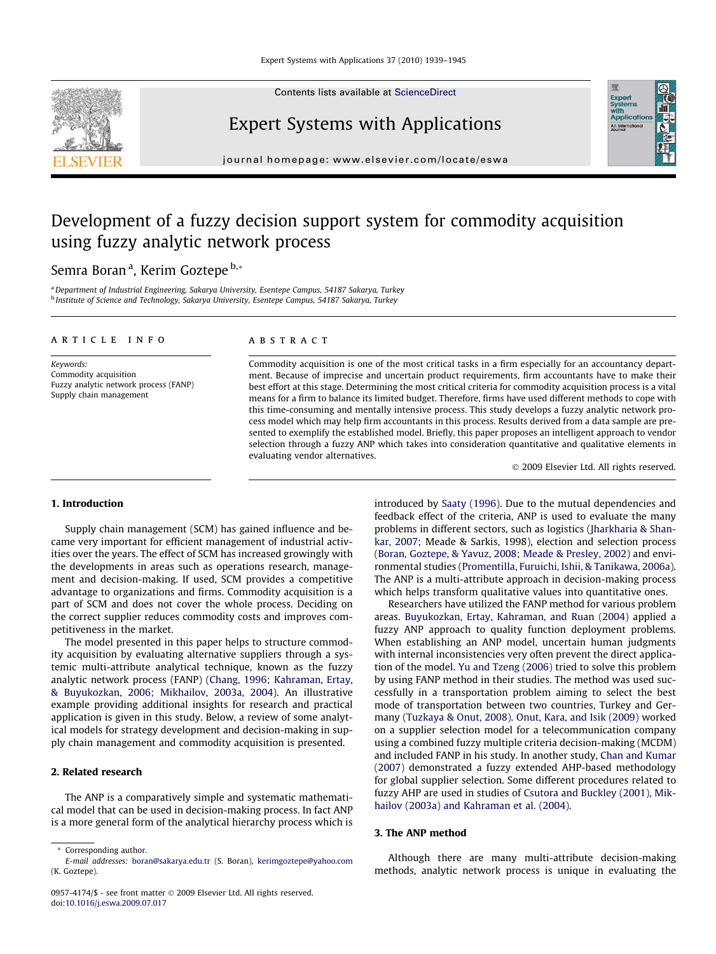Contents lists available at [ScienceDirect](http://www.sciencedirect.com/science/journal/09574174)

# Expert Systems with Applications

journal homepage: [www.elsevier.com/locate/eswa](http://www.elsevier.com/locate/eswa)

## Development of a fuzzy decision support system for commodity acquisition using fuzzy analytic network process

## Semra Boran <sup>a</sup>, Kerim Goztepe <sup>b,</sup>\*

a Department of Industrial Engineering, Sakarya University, Esentepe Campus, 54187 Sakarya, Turkey <sup>b</sup> Institute of Science and Technology, Sakarya University, Esentepe Campus, 54187 Sakarya, Turkey

#### article info

Keywords: Commodity acquisition Fuzzy analytic network process (FANP) Supply chain management

#### ABSTRACT

Commodity acquisition is one of the most critical tasks in a firm especially for an accountancy department. Because of imprecise and uncertain product requirements, firm accountants have to make their best effort at this stage. Determining the most critical criteria for commodity acquisition process is a vital means for a firm to balance its limited budget. Therefore, firms have used different methods to cope with this time-consuming and mentally intensive process. This study develops a fuzzy analytic network process model which may help firm accountants in this process. Results derived from a data sample are presented to exemplify the established model. Briefly, this paper proposes an intelligent approach to vendor selection through a fuzzy ANP which takes into consideration quantitative and qualitative elements in evaluating vendor alternatives.

- 2009 Elsevier Ltd. All rights reserved.

Expert<br>Systems<br>with<br>Applical

## 1. Introduction

Supply chain management (SCM) has gained influence and became very important for efficient management of industrial activities over the years. The effect of SCM has increased growingly with the developments in areas such as operations research, management and decision-making. If used, SCM provides a competitive advantage to organizations and firms. Commodity acquisition is a part of SCM and does not cover the whole process. Deciding on the correct supplier reduces commodity costs and improves competitiveness in the market.

The model presented in this paper helps to structure commodity acquisition by evaluating alternative suppliers through a systemic multi-attribute analytical technique, known as the fuzzy analytic network process (FANP) [\(Chang, 1996; Kahraman, Ertay,](#page--1-0) [& Buyukozkan, 2006; Mikhailov, 2003a, 2004](#page--1-0)). An illustrative example providing additional insights for research and practical application is given in this study. Below, a review of some analytical models for strategy development and decision-making in supply chain management and commodity acquisition is presented.

## 2. Related research

The ANP is a comparatively simple and systematic mathematical model that can be used in decision-making process. In fact ANP is a more general form of the analytical hierarchy process which is introduced by [Saaty \(1996\).](#page--1-0) Due to the mutual dependencies and feedback effect of the criteria, ANP is used to evaluate the many problems in different sectors, such as logistics ([Jharkharia & Shan](#page--1-0)[kar, 2007;](#page--1-0) Meade & Sarkis, 1998), election and selection process ([Boran, Goztepe, & Yavuz, 2008; Meade & Presley, 2002](#page--1-0)) and environmental studies ([Promentilla, Furuichi, Ishii, & Tanikawa, 2006a\)](#page--1-0). The ANP is a multi-attribute approach in decision-making process which helps transform qualitative values into quantitative ones.

Researchers have utilized the FANP method for various problem areas. [Buyukozkan, Ertay, Kahraman, and Ruan \(2004\)](#page--1-0) applied a fuzzy ANP approach to quality function deployment problems. When establishing an ANP model, uncertain human judgments with internal inconsistencies very often prevent the direct application of the model. [Yu and Tzeng \(2006\)](#page--1-0) tried to solve this problem by using FANP method in their studies. The method was used successfully in a transportation problem aiming to select the best mode of transportation between two countries, Turkey and Germany [\(Tuzkaya & Onut, 2008](#page--1-0)). [Onut, Kara, and Isik \(2009\)](#page--1-0) worked on a supplier selection model for a telecommunication company using a combined fuzzy multiple criteria decision-making (MCDM) and included FANP in his study. In another study, [Chan and Kumar](#page--1-0) [\(2007\)](#page--1-0) demonstrated a fuzzy extended AHP-based methodology for global supplier selection. Some different procedures related to fuzzy AHP are used in studies of [Csutora and Buckley \(2001\), Mik](#page--1-0)[hailov \(2003a\) and Kahraman et al. \(2004\)](#page--1-0).

## 3. The ANP method

Although there are many multi-attribute decision-making methods, analytic network process is unique in evaluating the



Corresponding author.

E-mail addresses: [boran@sakarya.edu.tr](mailto:boran@sakarya.edu.tr) (S. Boran), [kerimgoztepe@yahoo.com](mailto:kerimgoztepe@yahoo.com) (K. Goztepe).

<sup>0957-4174/\$ -</sup> see front matter © 2009 Elsevier Ltd. All rights reserved. doi[:10.1016/j.eswa.2009.07.017](http://dx.doi.org/10.1016/j.eswa.2009.07.017)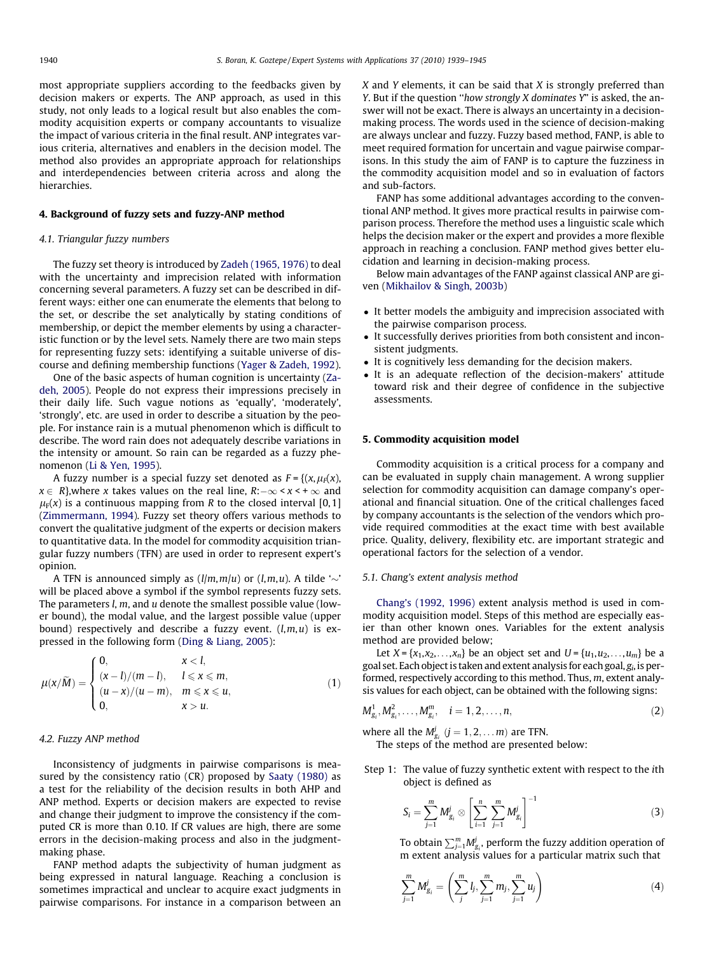most appropriate suppliers according to the feedbacks given by decision makers or experts. The ANP approach, as used in this study, not only leads to a logical result but also enables the commodity acquisition experts or company accountants to visualize the impact of various criteria in the final result. ANP integrates various criteria, alternatives and enablers in the decision model. The method also provides an appropriate approach for relationships and interdependencies between criteria across and along the hierarchies.

#### 4. Background of fuzzy sets and fuzzy-ANP method

### 4.1. Triangular fuzzy numbers

The fuzzy set theory is introduced by [Zadeh \(1965, 1976\)](#page--1-0) to deal with the uncertainty and imprecision related with information concerning several parameters. A fuzzy set can be described in different ways: either one can enumerate the elements that belong to the set, or describe the set analytically by stating conditions of membership, or depict the member elements by using a characteristic function or by the level sets. Namely there are two main steps for representing fuzzy sets: identifying a suitable universe of discourse and defining membership functions ([Yager & Zadeh, 1992\)](#page--1-0).

One of the basic aspects of human cognition is uncertainty ([Za](#page--1-0)[deh, 2005\)](#page--1-0). People do not express their impressions precisely in their daily life. Such vague notions as 'equally', 'moderately', 'strongly', etc. are used in order to describe a situation by the people. For instance rain is a mutual phenomenon which is difficult to describe. The word rain does not adequately describe variations in the intensity or amount. So rain can be regarded as a fuzzy phenomenon [\(Li & Yen, 1995\)](#page--1-0).

A fuzzy number is a special fuzzy set denoted as  $F = \{(x, \mu_F(x),\})$  $x \in R$ },where x takes values on the real line, R:– $\infty$  < x < +  $\infty$  and  $\mu_F(x)$  is a continuous mapping from R to the closed interval [0,1] ([Zimmermann, 1994](#page--1-0)). Fuzzy set theory offers various methods to convert the qualitative judgment of the experts or decision makers to quantitative data. In the model for commodity acquisition triangular fuzzy numbers (TFN) are used in order to represent expert's opinion.

A TFN is announced simply as  $(l/m, m/u)$  or  $(l, m, u)$ . A tilde ' $\sim$ ' will be placed above a symbol if the symbol represents fuzzy sets. The parameters l, m, and u denote the smallest possible value (lower bound), the modal value, and the largest possible value (upper bound) respectively and describe a fuzzy event.  $(l,m,u)$  is expressed in the following form [\(Ding & Liang, 2005\)](#page--1-0):

$$
\mu(x/\widetilde{M}) = \begin{cases}\n0, & x < l, \\
(x - l)/(m - l), & l \leq x \leq m, \\
(u - x)/(u - m), & m \leq x \leq u, \\
0, & x > u.\n\end{cases} \tag{1}
$$

## 4.2. Fuzzy ANP method

Inconsistency of judgments in pairwise comparisons is measured by the consistency ratio (CR) proposed by [Saaty \(1980\)](#page--1-0) as a test for the reliability of the decision results in both AHP and ANP method. Experts or decision makers are expected to revise and change their judgment to improve the consistency if the computed CR is more than 0.10. If CR values are high, there are some errors in the decision-making process and also in the judgmentmaking phase.

FANP method adapts the subjectivity of human judgment as being expressed in natural language. Reaching a conclusion is sometimes impractical and unclear to acquire exact judgments in pairwise comparisons. For instance in a comparison between an  $X$  and  $Y$  elements, it can be said that  $X$  is strongly preferred than Y. But if the question ''how strongly X dominates Y" is asked, the answer will not be exact. There is always an uncertainty in a decisionmaking process. The words used in the science of decision-making are always unclear and fuzzy. Fuzzy based method, FANP, is able to meet required formation for uncertain and vague pairwise comparisons. In this study the aim of FANP is to capture the fuzziness in the commodity acquisition model and so in evaluation of factors and sub-factors.

FANP has some additional advantages according to the conventional ANP method. It gives more practical results in pairwise comparison process. Therefore the method uses a linguistic scale which helps the decision maker or the expert and provides a more flexible approach in reaching a conclusion. FANP method gives better elucidation and learning in decision-making process.

Below main advantages of the FANP against classical ANP are given [\(Mikhailov & Singh, 2003b](#page--1-0))

- It better models the ambiguity and imprecision associated with the pairwise comparison process.
- It successfully derives priorities from both consistent and inconsistent judgments.
- It is cognitively less demanding for the decision makers.
- It is an adequate reflection of the decision-makers' attitude toward risk and their degree of confidence in the subjective assessments.

## 5. Commodity acquisition model

Commodity acquisition is a critical process for a company and can be evaluated in supply chain management. A wrong supplier selection for commodity acquisition can damage company's operational and financial situation. One of the critical challenges faced by company accountants is the selection of the vendors which provide required commodities at the exact time with best available price. Quality, delivery, flexibility etc. are important strategic and operational factors for the selection of a vendor.

#### 5.1. Chang's extent analysis method

[Chang's \(1992, 1996\)](#page--1-0) extent analysis method is used in commodity acquisition model. Steps of this method are especially easier than other known ones. Variables for the extent analysis method are provided below;

Let *X* = { $x_1, x_2, ..., x_n$ } be an object set and *U* = { $u_1, u_2, ..., u_m$ } be a goal set. Each object is taken and extent analysis for each goal,  $g_i$ , is performed, respectively according to this method. Thus, m, extent analysis values for each object, can be obtained with the following signs:

$$
M_{g_i}^1, M_{g_i}^2, \dots, M_{g_i}^m, \quad i = 1, 2, \dots, n,
$$
\n(2)

where all the  $M_{g_i}^j$   $(j = 1, 2, \ldots m)$  are TFN.

The steps of the method are presented below:

Step 1: The value of fuzzy synthetic extent with respect to the ith object is defined as

$$
S_i = \sum_{j=1}^{m} M_{g_i}^j \otimes \left[ \sum_{i=1}^{n} \sum_{j=1}^{m} M_{g_i}^j \right]^{-1} \tag{3}
$$

To obtain  $\sum_{j=1}^m M_{g_i}^j$ , perform the fuzzy addition operation of m extent analysis values for a particular matrix such that

$$
\sum_{j=1}^{m} M_{g_i}^j = \left(\sum_{j}^{m} l_j, \sum_{j=1}^{m} m_j, \sum_{j=1}^{m} u_j\right)
$$
 (4)